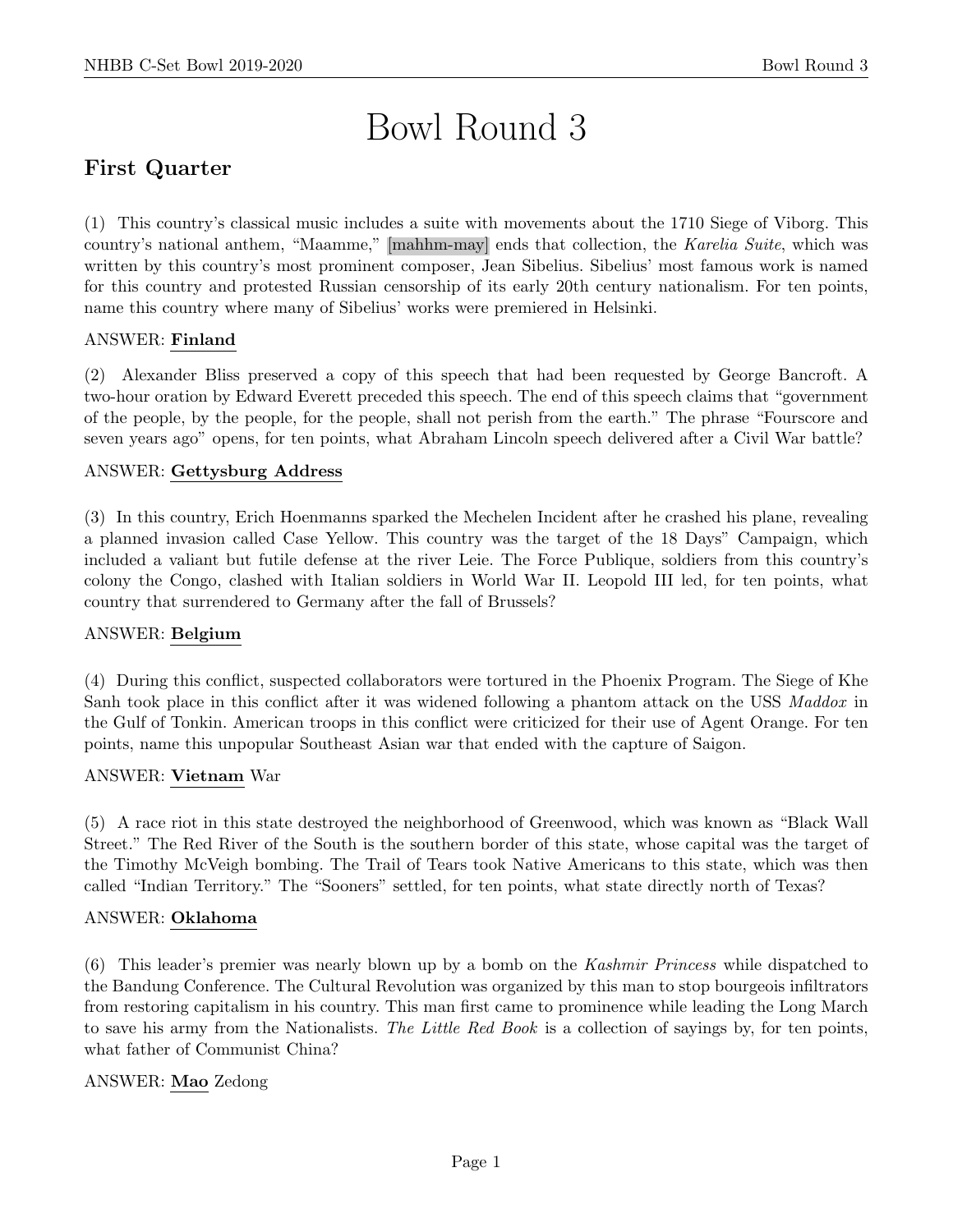# Bowl Round 3

# First Quarter

(1) This country's classical music includes a suite with movements about the 1710 Siege of Viborg. This country's national anthem, "Maamme," [mahhm-may] ends that collection, the Karelia Suite, which was written by this country's most prominent composer, Jean Sibelius. Sibelius' most famous work is named for this country and protested Russian censorship of its early 20th century nationalism. For ten points, name this country where many of Sibelius' works were premiered in Helsinki.

#### ANSWER: Finland

(2) Alexander Bliss preserved a copy of this speech that had been requested by George Bancroft. A two-hour oration by Edward Everett preceded this speech. The end of this speech claims that "government of the people, by the people, for the people, shall not perish from the earth." The phrase "Fourscore and seven years ago" opens, for ten points, what Abraham Lincoln speech delivered after a Civil War battle?

# ANSWER: Gettysburg Address

(3) In this country, Erich Hoenmanns sparked the Mechelen Incident after he crashed his plane, revealing a planned invasion called Case Yellow. This country was the target of the 18 Days" Campaign, which included a valiant but futile defense at the river Leie. The Force Publique, soldiers from this country's colony the Congo, clashed with Italian soldiers in World War II. Leopold III led, for ten points, what country that surrendered to Germany after the fall of Brussels?

#### ANSWER: Belgium

(4) During this conflict, suspected collaborators were tortured in the Phoenix Program. The Siege of Khe Sanh took place in this conflict after it was widened following a phantom attack on the USS Maddox in the Gulf of Tonkin. American troops in this conflict were criticized for their use of Agent Orange. For ten points, name this unpopular Southeast Asian war that ended with the capture of Saigon.

#### ANSWER: Vietnam War

(5) A race riot in this state destroyed the neighborhood of Greenwood, which was known as "Black Wall Street." The Red River of the South is the southern border of this state, whose capital was the target of the Timothy McVeigh bombing. The Trail of Tears took Native Americans to this state, which was then called "Indian Territory." The "Sooners" settled, for ten points, what state directly north of Texas?

#### ANSWER: Oklahoma

(6) This leader's premier was nearly blown up by a bomb on the Kashmir Princess while dispatched to the Bandung Conference. The Cultural Revolution was organized by this man to stop bourgeois infiltrators from restoring capitalism in his country. This man first came to prominence while leading the Long March to save his army from the Nationalists. The Little Red Book is a collection of sayings by, for ten points, what father of Communist China?

#### ANSWER: Mao Zedong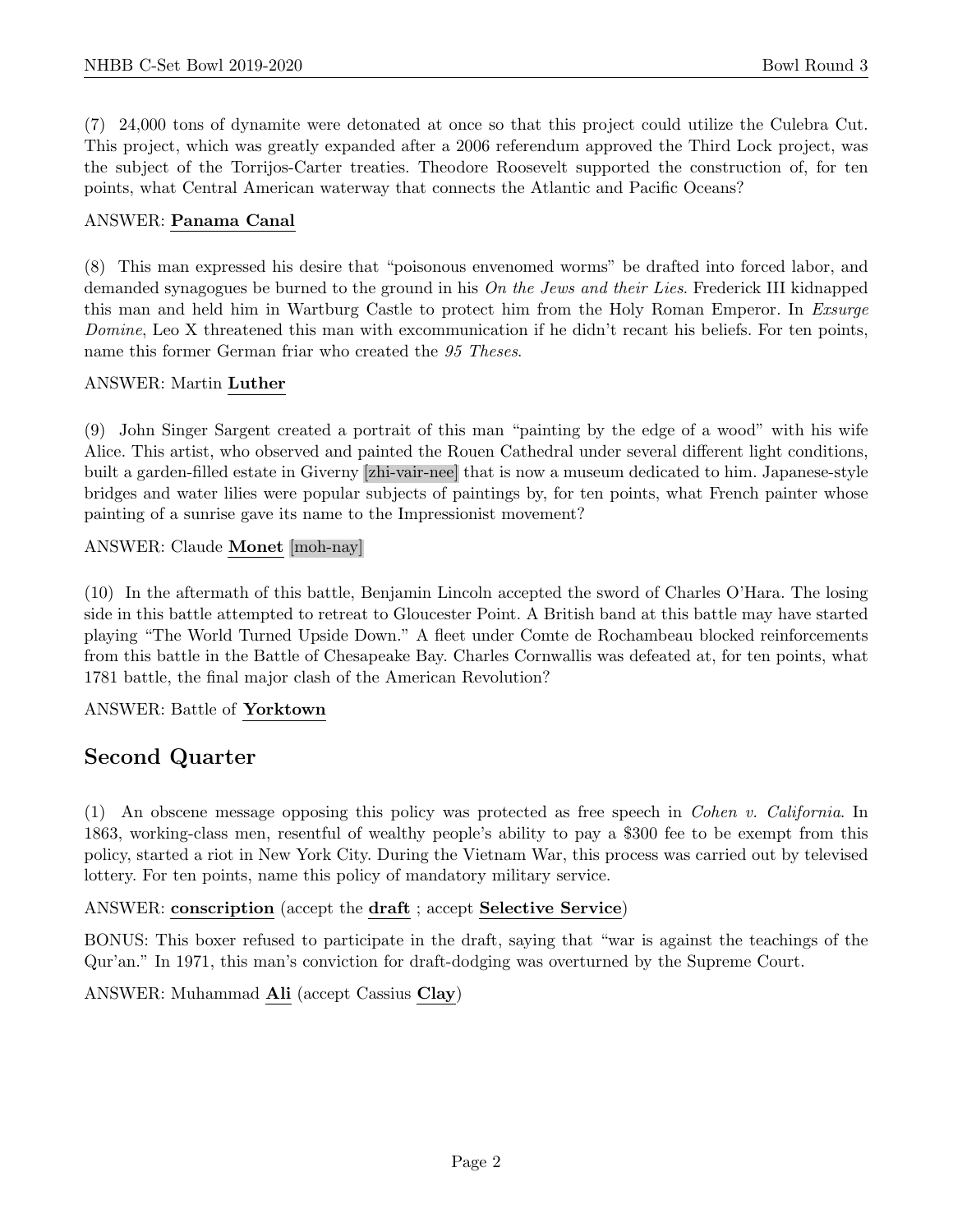(7) 24,000 tons of dynamite were detonated at once so that this project could utilize the Culebra Cut. This project, which was greatly expanded after a 2006 referendum approved the Third Lock project, was the subject of the Torrijos-Carter treaties. Theodore Roosevelt supported the construction of, for ten points, what Central American waterway that connects the Atlantic and Pacific Oceans?

#### ANSWER: Panama Canal

(8) This man expressed his desire that "poisonous envenomed worms" be drafted into forced labor, and demanded synagogues be burned to the ground in his On the Jews and their Lies. Frederick III kidnapped this man and held him in Wartburg Castle to protect him from the Holy Roman Emperor. In Exsurge Domine, Leo X threatened this man with excommunication if he didn't recant his beliefs. For ten points, name this former German friar who created the 95 Theses.

#### ANSWER: Martin Luther

(9) John Singer Sargent created a portrait of this man "painting by the edge of a wood" with his wife Alice. This artist, who observed and painted the Rouen Cathedral under several different light conditions, built a garden-filled estate in Giverny [zhi-vair-nee] that is now a museum dedicated to him. Japanese-style bridges and water lilies were popular subjects of paintings by, for ten points, what French painter whose painting of a sunrise gave its name to the Impressionist movement?

#### ANSWER: Claude Monet [moh-nay]

(10) In the aftermath of this battle, Benjamin Lincoln accepted the sword of Charles O'Hara. The losing side in this battle attempted to retreat to Gloucester Point. A British band at this battle may have started playing "The World Turned Upside Down." A fleet under Comte de Rochambeau blocked reinforcements from this battle in the Battle of Chesapeake Bay. Charles Cornwallis was defeated at, for ten points, what 1781 battle, the final major clash of the American Revolution?

#### ANSWER: Battle of Yorktown

# Second Quarter

(1) An obscene message opposing this policy was protected as free speech in Cohen v. California. In 1863, working-class men, resentful of wealthy people's ability to pay a \$300 fee to be exempt from this policy, started a riot in New York City. During the Vietnam War, this process was carried out by televised lottery. For ten points, name this policy of mandatory military service.

#### ANSWER: conscription (accept the draft ; accept Selective Service)

BONUS: This boxer refused to participate in the draft, saying that "war is against the teachings of the Qur'an." In 1971, this man's conviction for draft-dodging was overturned by the Supreme Court.

ANSWER: Muhammad Ali (accept Cassius Clay)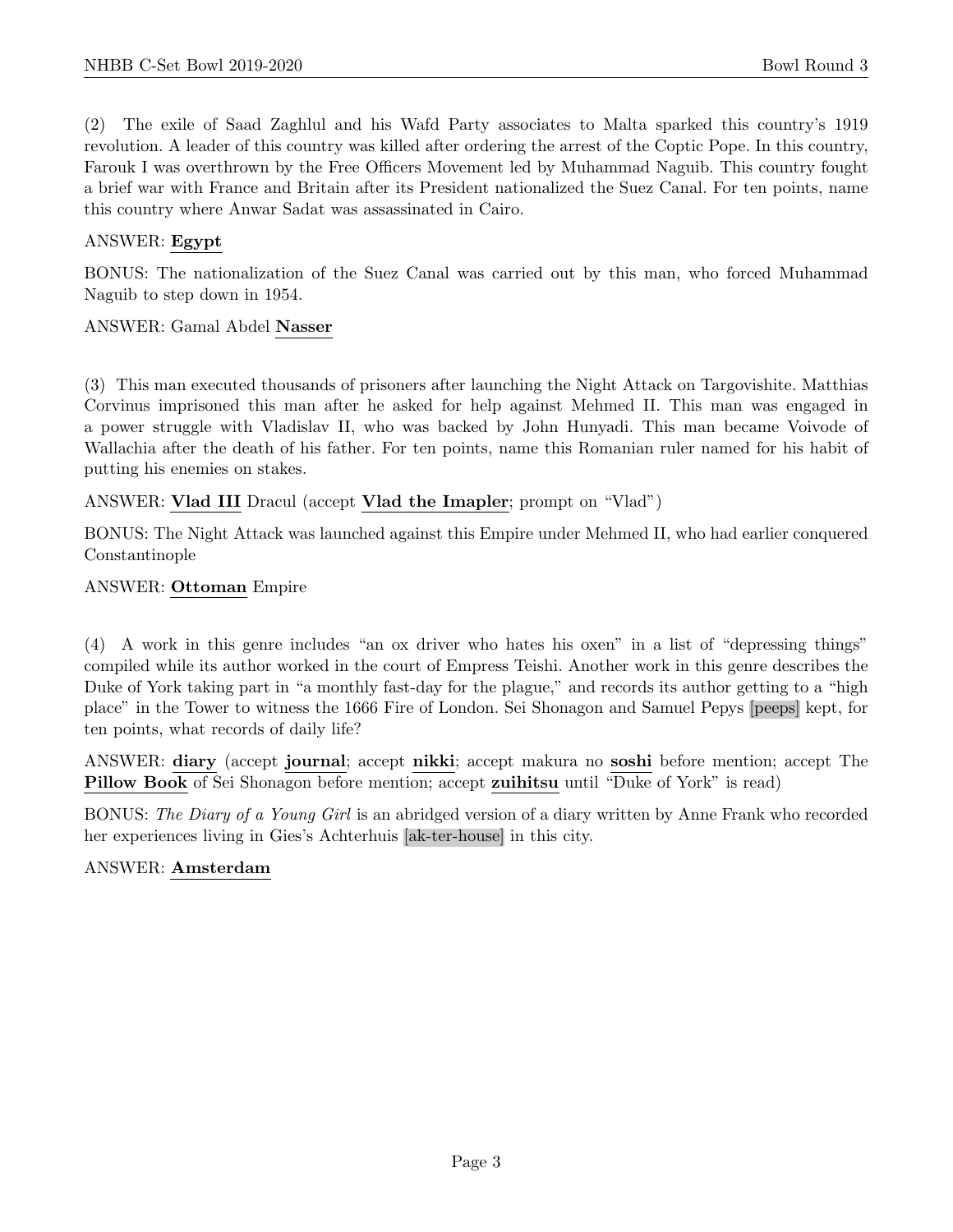(2) The exile of Saad Zaghlul and his Wafd Party associates to Malta sparked this country's 1919 revolution. A leader of this country was killed after ordering the arrest of the Coptic Pope. In this country, Farouk I was overthrown by the Free Officers Movement led by Muhammad Naguib. This country fought a brief war with France and Britain after its President nationalized the Suez Canal. For ten points, name this country where Anwar Sadat was assassinated in Cairo.

# ANSWER: Egypt

BONUS: The nationalization of the Suez Canal was carried out by this man, who forced Muhammad Naguib to step down in 1954.

# ANSWER: Gamal Abdel Nasser

(3) This man executed thousands of prisoners after launching the Night Attack on Targovishite. Matthias Corvinus imprisoned this man after he asked for help against Mehmed II. This man was engaged in a power struggle with Vladislav II, who was backed by John Hunyadi. This man became Voivode of Wallachia after the death of his father. For ten points, name this Romanian ruler named for his habit of putting his enemies on stakes.

ANSWER: Vlad III Dracul (accept Vlad the Imapler; prompt on "Vlad")

BONUS: The Night Attack was launched against this Empire under Mehmed II, who had earlier conquered Constantinople

# ANSWER: Ottoman Empire

(4) A work in this genre includes "an ox driver who hates his oxen" in a list of "depressing things" compiled while its author worked in the court of Empress Teishi. Another work in this genre describes the Duke of York taking part in "a monthly fast-day for the plague," and records its author getting to a "high place" in the Tower to witness the 1666 Fire of London. Sei Shonagon and Samuel Pepys [peeps] kept, for ten points, what records of daily life?

ANSWER: diary (accept journal; accept nikki; accept makura no soshi before mention; accept The Pillow Book of Sei Shonagon before mention; accept zuihitsu until "Duke of York" is read)

BONUS: The Diary of a Young Girl is an abridged version of a diary written by Anne Frank who recorded her experiences living in Gies's Achterhuis [ak-ter-house] in this city.

#### ANSWER: Amsterdam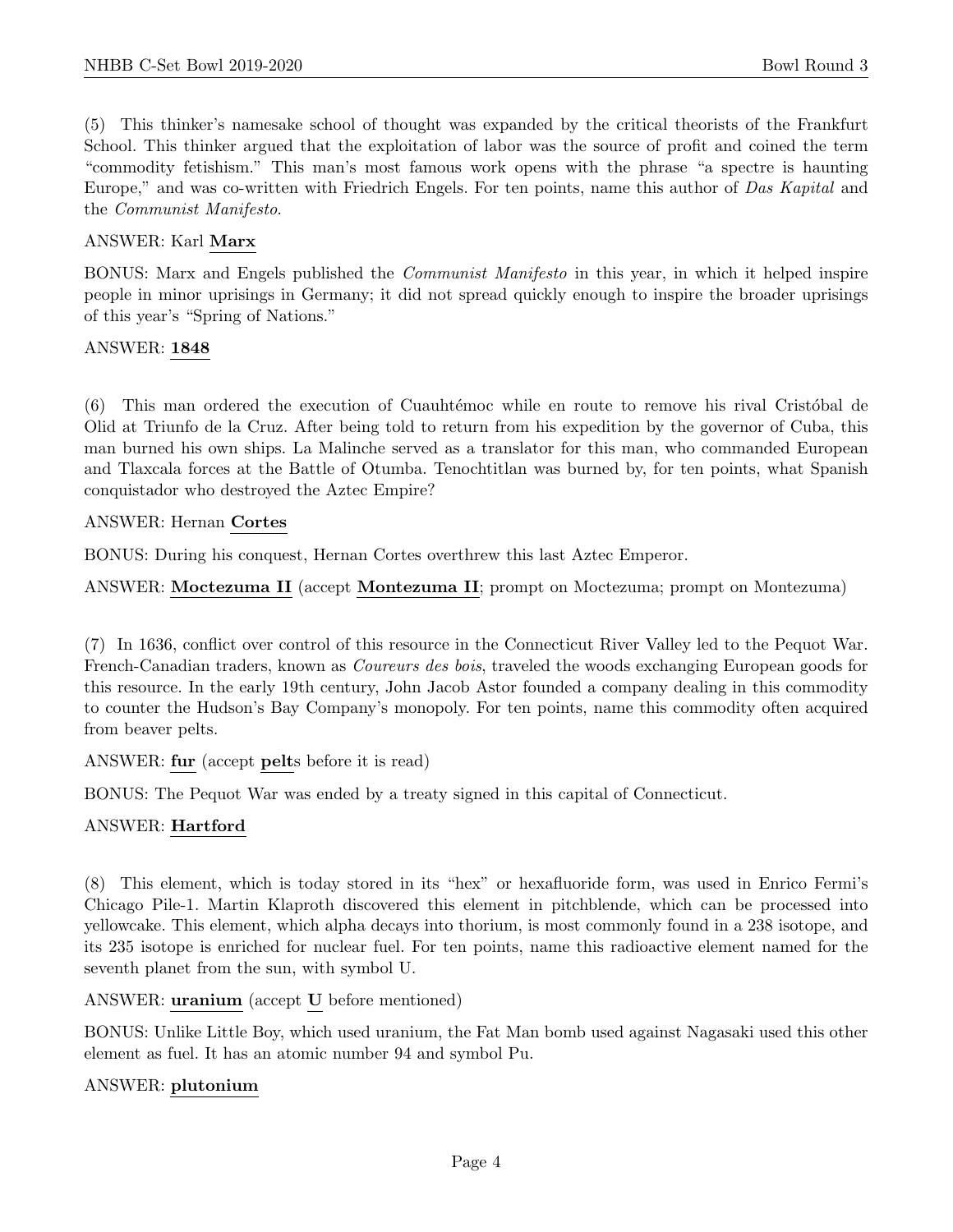(5) This thinker's namesake school of thought was expanded by the critical theorists of the Frankfurt School. This thinker argued that the exploitation of labor was the source of profit and coined the term "commodity fetishism." This man's most famous work opens with the phrase "a spectre is haunting Europe," and was co-written with Friedrich Engels. For ten points, name this author of Das Kapital and the Communist Manifesto.

#### ANSWER: Karl Marx

BONUS: Marx and Engels published the Communist Manifesto in this year, in which it helped inspire people in minor uprisings in Germany; it did not spread quickly enough to inspire the broader uprisings of this year's "Spring of Nations."

#### ANSWER: 1848

 $(6)$  This man ordered the execution of Cuauhtémoc while en route to remove his rival Cristóbal de Olid at Triunfo de la Cruz. After being told to return from his expedition by the governor of Cuba, this man burned his own ships. La Malinche served as a translator for this man, who commanded European and Tlaxcala forces at the Battle of Otumba. Tenochtitlan was burned by, for ten points, what Spanish conquistador who destroyed the Aztec Empire?

#### ANSWER: Hernan Cortes

BONUS: During his conquest, Hernan Cortes overthrew this last Aztec Emperor.

ANSWER: Moctezuma II (accept Montezuma II; prompt on Moctezuma; prompt on Montezuma)

(7) In 1636, conflict over control of this resource in the Connecticut River Valley led to the Pequot War. French-Canadian traders, known as Coureurs des bois, traveled the woods exchanging European goods for this resource. In the early 19th century, John Jacob Astor founded a company dealing in this commodity to counter the Hudson's Bay Company's monopoly. For ten points, name this commodity often acquired from beaver pelts.

ANSWER: fur (accept pelts before it is read)

BONUS: The Pequot War was ended by a treaty signed in this capital of Connecticut.

#### ANSWER: Hartford

(8) This element, which is today stored in its "hex" or hexafluoride form, was used in Enrico Fermi's Chicago Pile-1. Martin Klaproth discovered this element in pitchblende, which can be processed into yellowcake. This element, which alpha decays into thorium, is most commonly found in a 238 isotope, and its 235 isotope is enriched for nuclear fuel. For ten points, name this radioactive element named for the seventh planet from the sun, with symbol U.

ANSWER: uranium (accept U before mentioned)

BONUS: Unlike Little Boy, which used uranium, the Fat Man bomb used against Nagasaki used this other element as fuel. It has an atomic number 94 and symbol Pu.

#### ANSWER: plutonium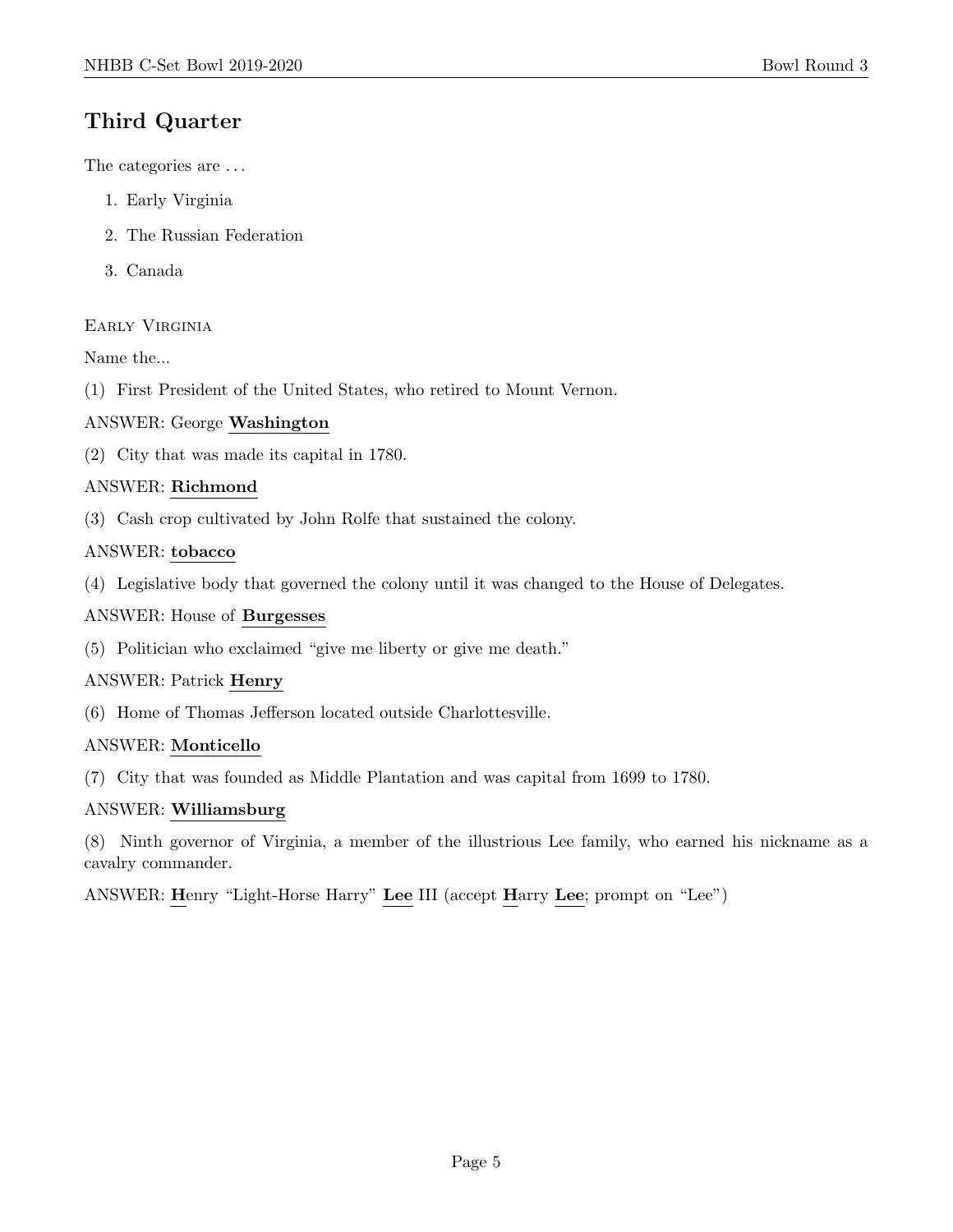# Third Quarter

The categories are . . .

- 1. Early Virginia
- 2. The Russian Federation
- 3. Canada

# Early Virginia

Name the...

(1) First President of the United States, who retired to Mount Vernon.

# ANSWER: George Washington

(2) City that was made its capital in 1780.

# ANSWER: Richmond

(3) Cash crop cultivated by John Rolfe that sustained the colony.

# ANSWER: tobacco

(4) Legislative body that governed the colony until it was changed to the House of Delegates.

#### ANSWER: House of Burgesses

(5) Politician who exclaimed "give me liberty or give me death."

#### ANSWER: Patrick Henry

(6) Home of Thomas Jefferson located outside Charlottesville.

#### ANSWER: Monticello

(7) City that was founded as Middle Plantation and was capital from 1699 to 1780.

#### ANSWER: Williamsburg

(8) Ninth governor of Virginia, a member of the illustrious Lee family, who earned his nickname as a cavalry commander.

ANSWER: Henry "Light-Horse Harry" Lee III (accept Harry Lee; prompt on "Lee")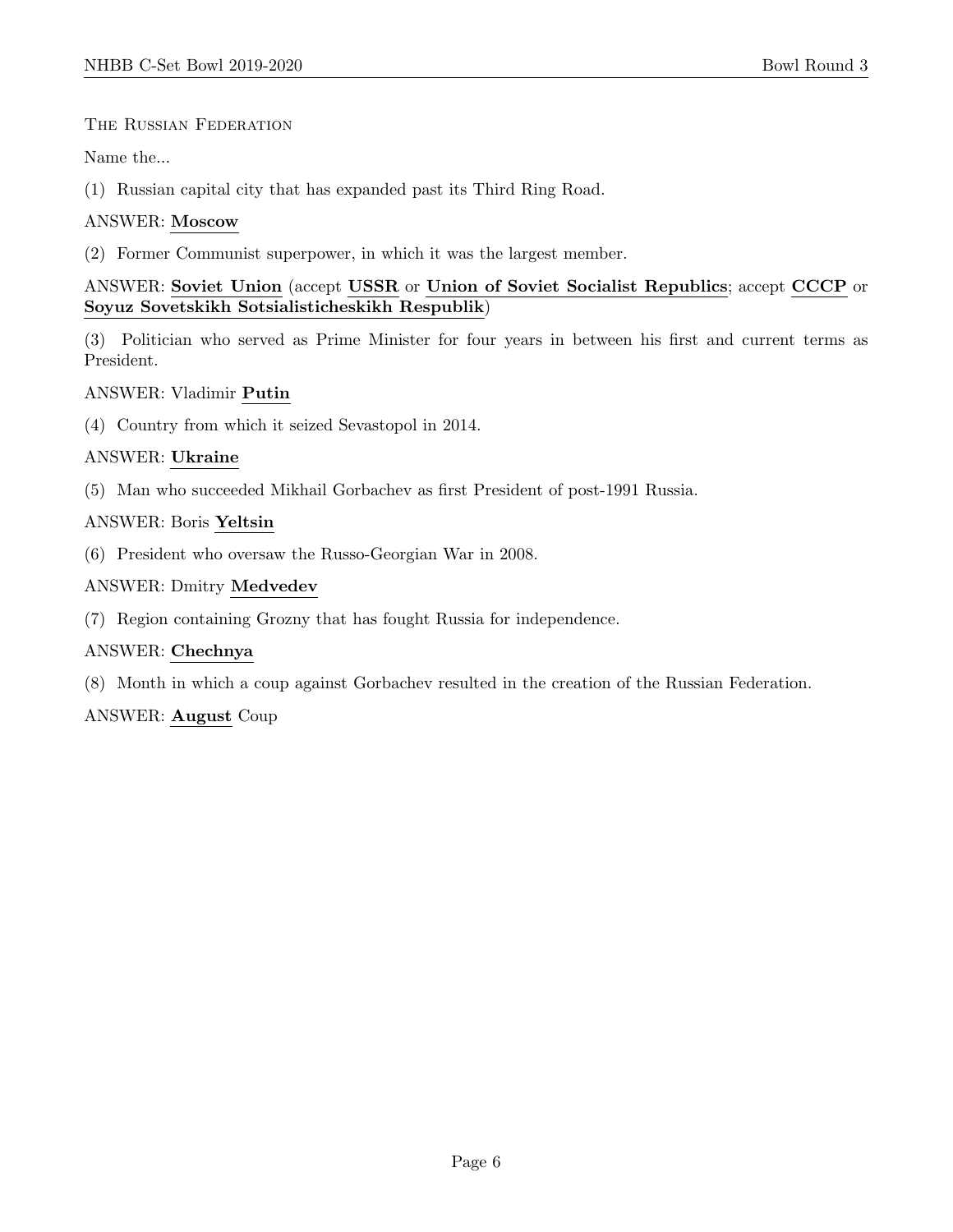#### The Russian Federation

Name the...

(1) Russian capital city that has expanded past its Third Ring Road.

# ANSWER: Moscow

(2) Former Communist superpower, in which it was the largest member.

# ANSWER: Soviet Union (accept USSR or Union of Soviet Socialist Republics; accept CCCP or Soyuz Sovetskikh Sotsialisticheskikh Respublik)

(3) Politician who served as Prime Minister for four years in between his first and current terms as President.

# ANSWER: Vladimir Putin

(4) Country from which it seized Sevastopol in 2014.

# ANSWER: Ukraine

(5) Man who succeeded Mikhail Gorbachev as first President of post-1991 Russia.

# ANSWER: Boris Yeltsin

(6) President who oversaw the Russo-Georgian War in 2008.

# ANSWER: Dmitry Medvedev

(7) Region containing Grozny that has fought Russia for independence.

# ANSWER: Chechnya

(8) Month in which a coup against Gorbachev resulted in the creation of the Russian Federation.

#### ANSWER: August Coup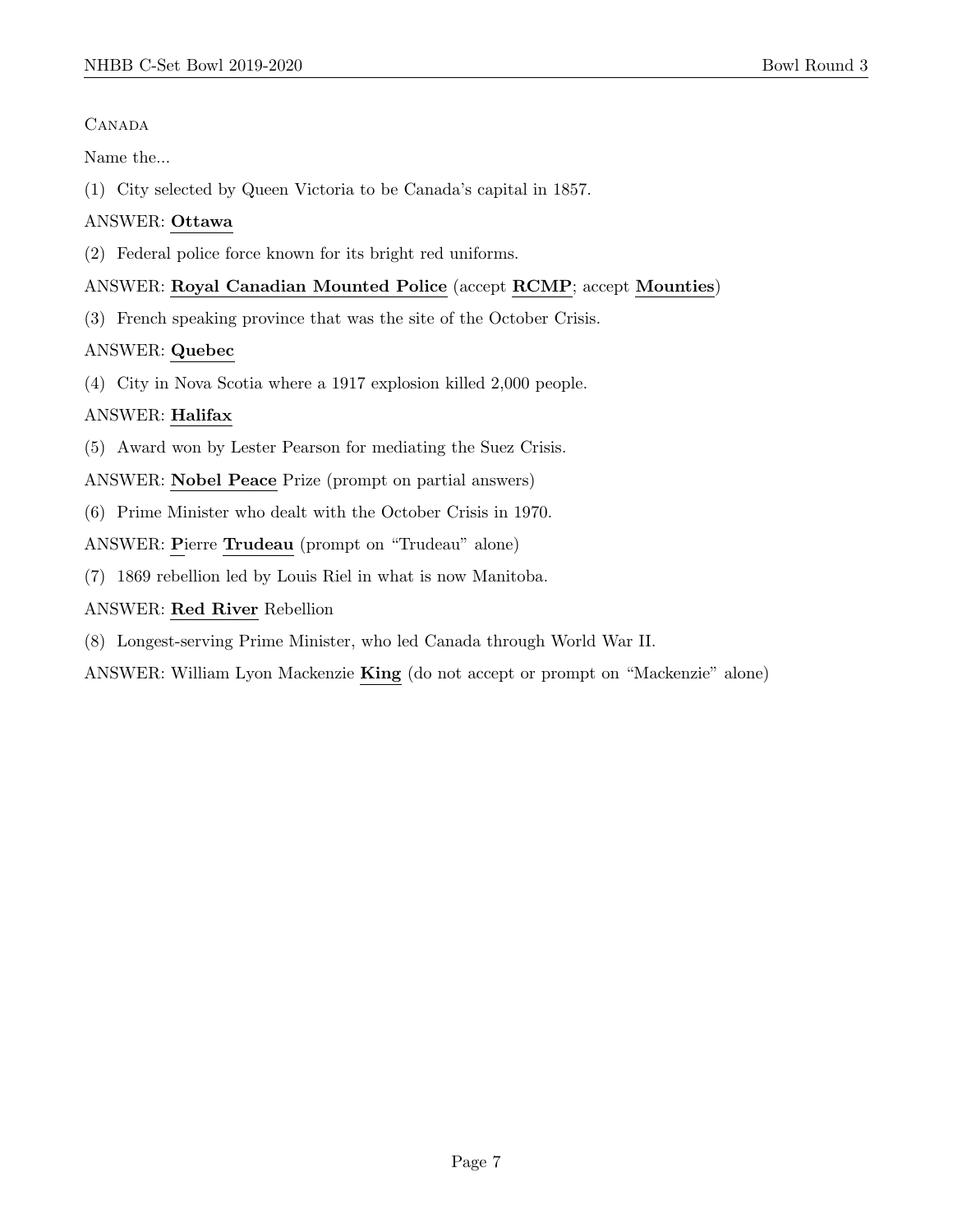# **CANADA**

Name the...

(1) City selected by Queen Victoria to be Canada's capital in 1857.

# ANSWER: Ottawa

(2) Federal police force known for its bright red uniforms.

# ANSWER: Royal Canadian Mounted Police (accept RCMP; accept Mounties)

(3) French speaking province that was the site of the October Crisis.

# ANSWER: Quebec

(4) City in Nova Scotia where a 1917 explosion killed 2,000 people.

# ANSWER: Halifax

(5) Award won by Lester Pearson for mediating the Suez Crisis.

ANSWER: Nobel Peace Prize (prompt on partial answers)

(6) Prime Minister who dealt with the October Crisis in 1970.

ANSWER: Pierre Trudeau (prompt on "Trudeau" alone)

(7) 1869 rebellion led by Louis Riel in what is now Manitoba.

ANSWER: Red River Rebellion

(8) Longest-serving Prime Minister, who led Canada through World War II.

ANSWER: William Lyon Mackenzie King (do not accept or prompt on "Mackenzie" alone)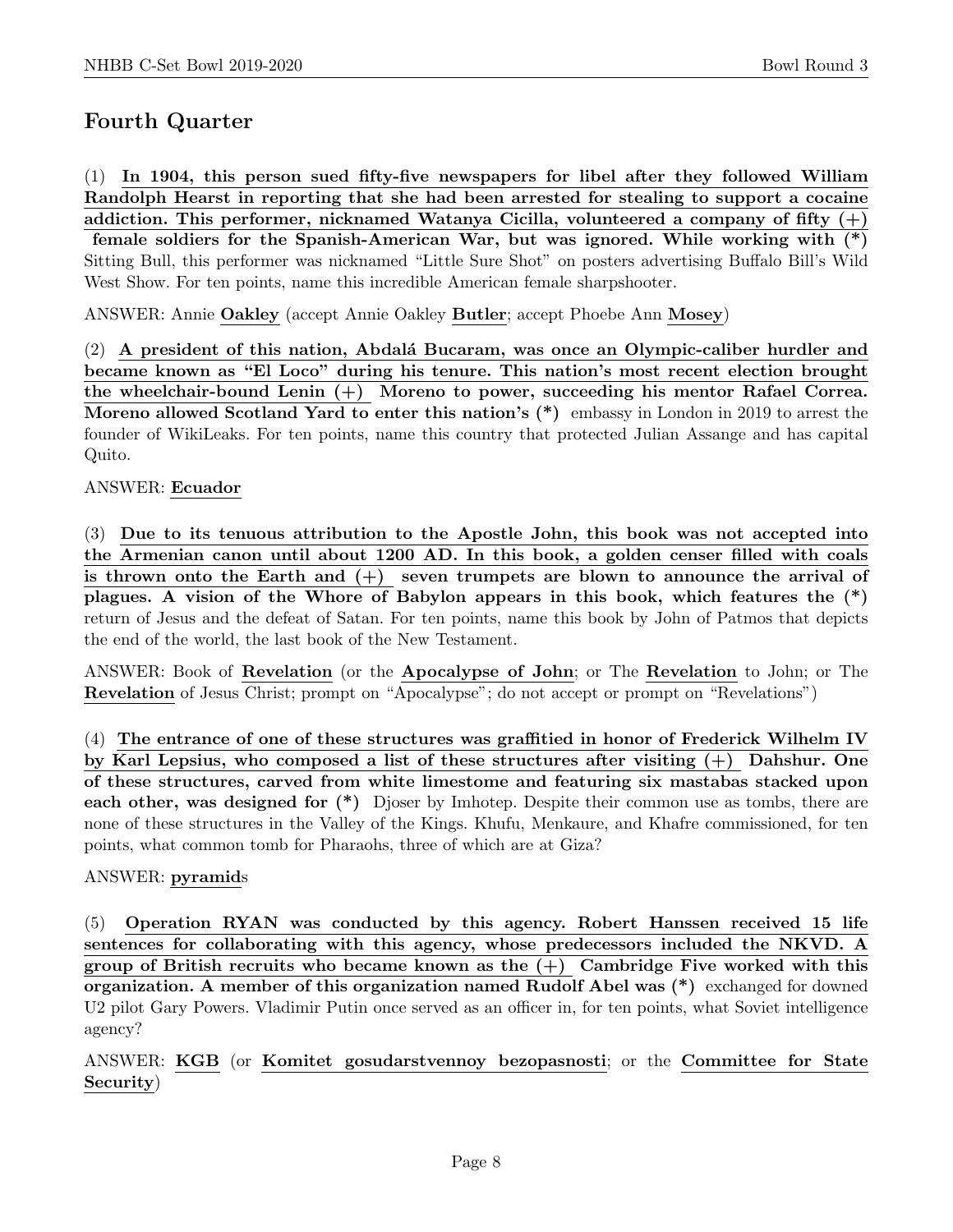# Fourth Quarter

(1) In 1904, this person sued fifty-five newspapers for libel after they followed William Randolph Hearst in reporting that she had been arrested for stealing to support a cocaine addiction. This performer, nicknamed Watanya Cicilla, volunteered a company of fifty  $(+)$ female soldiers for the Spanish-American War, but was ignored. While working with (\*) Sitting Bull, this performer was nicknamed "Little Sure Shot" on posters advertising Buffalo Bill's Wild West Show. For ten points, name this incredible American female sharpshooter.

ANSWER: Annie Oakley (accept Annie Oakley Butler; accept Phoebe Ann Mosey)

(2) A president of this nation, Abdalá Bucaram, was once an Olympic-caliber hurdler and became known as "El Loco" during his tenure. This nation's most recent election brought the wheelchair-bound Lenin (+) Moreno to power, succeeding his mentor Rafael Correa. Moreno allowed Scotland Yard to enter this nation's (\*) embassy in London in 2019 to arrest the founder of WikiLeaks. For ten points, name this country that protected Julian Assange and has capital Quito.

ANSWER: Ecuador

(3) Due to its tenuous attribution to the Apostle John, this book was not accepted into the Armenian canon until about 1200 AD. In this book, a golden censer filled with coals is thrown onto the Earth and  $(+)$  seven trumpets are blown to announce the arrival of plagues. A vision of the Whore of Babylon appears in this book, which features the (\*) return of Jesus and the defeat of Satan. For ten points, name this book by John of Patmos that depicts the end of the world, the last book of the New Testament.

ANSWER: Book of Revelation (or the Apocalypse of John; or The Revelation to John; or The Revelation of Jesus Christ; prompt on "Apocalypse"; do not accept or prompt on "Revelations")

(4) The entrance of one of these structures was graffitied in honor of Frederick Wilhelm IV by Karl Lepsius, who composed a list of these structures after visiting (+) Dahshur. One of these structures, carved from white limestome and featuring six mastabas stacked upon each other, was designed for (\*) Djoser by Imhotep. Despite their common use as tombs, there are none of these structures in the Valley of the Kings. Khufu, Menkaure, and Khafre commissioned, for ten points, what common tomb for Pharaohs, three of which are at Giza?

#### ANSWER: pyramids

(5) Operation RYAN was conducted by this agency. Robert Hanssen received 15 life sentences for collaborating with this agency, whose predecessors included the NKVD. A group of British recruits who became known as the  $(+)$  Cambridge Five worked with this organization. A member of this organization named Rudolf Abel was (\*) exchanged for downed U2 pilot Gary Powers. Vladimir Putin once served as an officer in, for ten points, what Soviet intelligence agency?

ANSWER: KGB (or Komitet gosudarstvennoy bezopasnosti; or the Committee for State Security)